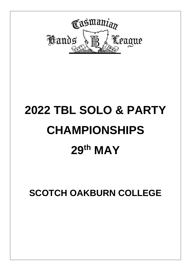

# **2022 TBL SOLO & PARTY CHAMPIONSHIPS 29th MAY**

**SCOTCH OAKBURN COLLEGE**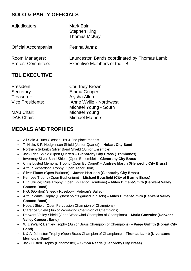## **SOLO & PARTY OFFICIALS**

| Adjudicators:                               | Mark Bain<br>Stephen King<br><b>Thomas McKay</b>                            |
|---------------------------------------------|-----------------------------------------------------------------------------|
| <b>Official Accompanist:</b>                | Petrina Jahnz                                                               |
| Room Managers:<br><b>Protest Committee:</b> | Launceston Bands coordinated by Thomas Lamb<br>Executive Members of the TBL |

# **TBL EXECUTIVE**

Secretary: Emma Cooper Treasurer: Alysha Allen

President: Courtney Brown Vice Presidents: Anne Wyllie - Northwest Michael Young - South MAB Chair: Michael Young DAB Chair: Michael Mathers

# **MEDALS AND TROPHIES**

- All Solo & Duet Classes: 1st & 2nd place medals
- T. Hicks & F. Hodgkinson Shield (Junior Quartet) **Hobart City Band**
- Northern Suburbs Silver Band Shield (Junior Ensemble)
- Jack Rice Shield (Open Quartet) **Glenorchy City Brass (Trombones)**
- Invermay Silver Band Shield (Open Ensemble) **Glenorchy City Brass**
- Chris Lusted Memorial Trophy (Open Bb Cornet) **Andrew Martin (Glenorchy City Brass)**
- Arthur Richardson Trophy (Open Tenor Horn)
- Silver Platter (Open Baritone) **James Harrison (Glenorchy City Brass)**
- Ken Lee Trophy (Open Euphonium) **Michael Bousfield (City of Burnie Brass)**
- B.V. (Bruce) Rule Trophy (Open Bb Tenor Trombone) **Miles Diment-Smith (Derwent Valley Concert Band)**
- F.G. (Gordon) Sheedy Rosebowl (Veteran's Ballad)
- Arthur White Trophy (Highest points gained in a solo) **Miles Diment-Smith (Derwent Valley Concert Band)**
- Hobart Shield (Open Percussion Champion of Champions)
- Clarence Shield (Junior Woodwind Champion of Champions)
- Derwent Valley Shield (Open Woodwind Champion of Champions) **Maria Gonzalez (Derwent Valley Concert Band)**
- W.J. (Wally) Bentley Trophy (Junior Brass Champion of Champions) **Paige Griffith (Hobart City Band)**
- I. & A. Johnston Trophy (Open Brass Champion of Champions) **Thomas Lamb (Ulverstone Municipal Band)**
- Jack Lusted Trophy (Bandmaster) **Simon Reade (Glenorchy City Brass)**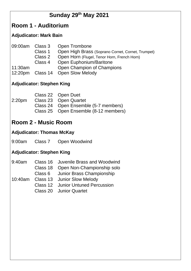# **Sunday 29th May 2021**

# **Room 1 - Auditorium**

#### **Adjudicator: Mark Bain**

| 09:00am Class 3 |         | <b>Open Trombone</b>                              |
|-----------------|---------|---------------------------------------------------|
|                 | Class 1 | Open High Brass (Soprano Cornet, Cornet, Trumpet) |
|                 | Class 2 | Open Horn (Flugel, Tenor Horn, French Horn)       |
|                 |         | Class 4 Open Euphonium/Baritone                   |
| 11:30am         |         | Open Champion of Champions                        |
|                 |         | 12:20pm Class 14 Open Slow Melody                 |

## **Adjudicator: Stephen King**

|                    | Class 22 Open Duet                    |
|--------------------|---------------------------------------|
| 2:20 <sub>pm</sub> | Class 23 Open Quartet                 |
|                    | Class 24 Open Ensemble (5-7 members)  |
|                    | Class 25 Open Ensemble (8-12 members) |
|                    |                                       |

# **Room 2 - Music Room**

#### **Adjudicator: Thomas McKay**

9:00am Class 7 Open Woodwind

### **Adjudicator: Stephen King**

|  | 9:40am Class 16 Juvenile Brass and Woodwind |
|--|---------------------------------------------|
|  | Class 18 Open Non-Championship solo         |
|  | Class 6 Junior Brass Championship           |
|  | 10:40am Class 13 Junior Slow Melody         |
|  | <b>Class 12 Junior Untuned Percussion</b>   |
|  | <b>Class 20 Junior Quartet</b>              |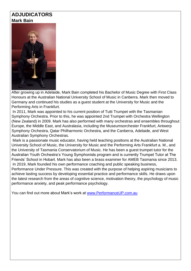#### **ADJUDICATORS Mark Bain**



After growing up in Adelaide, Mark Bain completed his Bachelor of Music Degree with First Class Honours at the Australian National University School of Music in Canberra. Mark then moved to Germany and continued his studies as a guest student at the University for Music and the Performing Arts in Frankfurt.

In 2011, Mark was appointed to his current position of Tutti Trumpet with the Tasmanian Symphony Orchestra. Prior to this, he was appointed 2nd Trumpet with Orchestra Wellington (New Zealand) in 2009. Mark has also performed with many orchestras and ensembles throughout Europe, the Middle East, and Australasia, including the Museumsorchester Frankfurt, Antwerp Symphony Orchestra, Qatar Philharmonic Orchestra, and the Canberra, Adelaide, and West Australian Symphony Orchestras.

Mark is a passionate music educator, having held teaching positions at the Australian National University School of Music, the University for Music and the Performing Arts Frankfurt a. M., and the University of Tasmania Conservatorium of Music. He has been a guest trumpet tutor for the Australian Youth Orchestra's Young Symphonists program and is currently Trumpet Tutor at The Friends' School in Hobart. Mark has also been a brass examiner for AMEB Tasmania since 2013. In 2019, Mark founded his own performance coaching and public speaking business,

Performance Under Pressure. This was created with the purpose of helping aspiring musicians to achieve lasting success by developing essential practice and performance skills. He draws upon the latest research from the areas of cognitive science, motivation theory, the psychology of music performance anxiety, and peak performance psychology.

You can find out more about Mark's work at [www.PerformanceUP.com.au](http://www.performanceup.com.au/)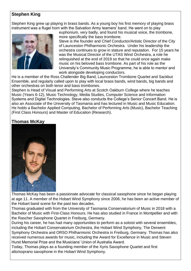#### **Stephen King**

Stephen King grew up playing in brass bands. As a young boy his first memory of playing brass instrument was a flugel horn with the Salvation Army learners' band. He went on to play



euphonium, very badly, and found his musical voice, the trombone, more specifically the bass trombone.

Steve is the founder and Chief Conductor/Artistic Director of the City of Launceston Philharmonic Orchestra. Under his leadership the orchestra continues to grow in stature and reputation. For 15 years he was the Musical Director of the UTAS Wind Orchestra, a role he relinquished at the end of 2019 so that he could once again make music on his beloved bass trombone. As part of his role as the University's Community Music Programme, he is able to mentor and work alongside developing conductors.

He is a member of the Ross Challender Big Band, Launceston Trombone Quartet and Sackbut Ensemble, and regularly called upon to play with local brass bands, wind bands, big bands and other orchestras on both tenor and bass trombones.

Stephen is Head of Visual and Performing Arts at Scotch Oakburn College where he teaches Music (Years 6-12), Music Technology, Media Studies, Computer Science and Information Systems and Digital Technologies. Steve also conducts the College's Senior Concert Band. He is also an Associate of the University of Tasmania and has lectured in Music and Music Education. He holds a Bachelor Applied Computing, Bachelor of Performing Arts (Music), Bachelor Teaching (First Class Honours) and Master of Education (Research).

#### **Thomas McKay**



Thomas McKay has been a passionate advocate for classical saxophone since he began playing at age 11. A member of the Hobart Wind Symphony since 2006, he has been an active member of the Hobart band scene for the past two decades.

Thomas graduated with from the University of Tasmania Conservatorium of Music in 2018 with a Bachelor of Music with First-Class Honours. He has also studied in France in Montpellier and with the Rascher Saxophone Quartet in Freiburg, Germany.

During his career, he has had many opportunities to perform as a soloist with several ensembles, including the Hobart Conservatorium Orchestra, the Hobart Wind Symphony, The Derwent Symphony Orchestra and ORSO Philharmonic Orchestra in Freiburg, Germany. Thomas has also received numerous awards for music, including the Award for Excellence in Music and Steven Hurst Memorial Prize and the Musicians' Union of Australia Award.

Today, Thomas plays as a founding member of the Xyris Saxophone Quartet and first alto/soprano saxophone in the Hobart Wind Symphony.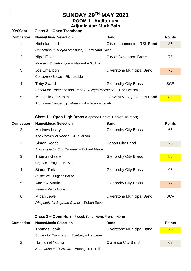| <b>SUNDAY 29TH MAY 2021</b><br><b>ROOM 1 - Auditorium</b> |                                                                   |                                    |               |  |  |  |
|-----------------------------------------------------------|-------------------------------------------------------------------|------------------------------------|---------------|--|--|--|
| 09:00am                                                   | <b>Adjudicator: Mark Bain</b><br><b>Class 3 - Open Trombone</b>   |                                    |               |  |  |  |
| <b>Competitor</b>                                         | <b>Name/Music Selection</b>                                       | <b>Band</b>                        | <b>Points</b> |  |  |  |
| 1.                                                        | Nicholas Lord                                                     | City of Launceston RSL Band        |               |  |  |  |
|                                                           | 85<br>Concertino (I. Allegro Maestoso) - Ferdinand David          |                                    |               |  |  |  |
| 2.                                                        | <b>Nigel Elliott</b>                                              | <b>City of Devonport Brass</b>     | 75            |  |  |  |
|                                                           | Morceau Symphonique - Alexandre Guilmant                          |                                    |               |  |  |  |
| 3.                                                        | Joe Smallbon                                                      | <b>Ulverstone Municipal Band</b>   | 78            |  |  |  |
|                                                           | Concertino Basso - Richard Liei                                   |                                    |               |  |  |  |
| 4.                                                        | <b>Toby Sward</b>                                                 | <b>Glenorchy City Brass</b>        | <b>SCR</b>    |  |  |  |
|                                                           | Sonata for Trombone and Piano (I. Allegro Maestoso) - Eric Ewazen |                                    |               |  |  |  |
| 5.                                                        | <b>Miles Diment-Smith</b>                                         | <b>Derwent Valley Concert Band</b> | 89            |  |  |  |
|                                                           | Trombone Concerto (I. Maestoso) - Gordon Jacob                    |                                    |               |  |  |  |
|                                                           |                                                                   |                                    |               |  |  |  |
|                                                           | Class 1 - Open High Brass (Soprano Cornet, Cornet, Trumpet)       |                                    |               |  |  |  |
| <b>Competitor</b>                                         | <b>Name/Music Selection</b>                                       | <b>Band</b>                        | <b>Points</b> |  |  |  |
| 2.                                                        | <b>Matthew Leary</b>                                              | <b>Glenorchy City Brass</b>        | 65            |  |  |  |
|                                                           | The Carnival of Venice - J. B. Arban                              |                                    |               |  |  |  |
| 1.                                                        | <b>Simon Reade</b>                                                | <b>Hobart City Band</b>            | 75            |  |  |  |
|                                                           | Arabesque for Solo Trumpet - Richard Meale                        |                                    |               |  |  |  |
| 3.                                                        | <b>Thomas Geale</b>                                               | <b>Glenorchy City Brass</b>        | 85            |  |  |  |
|                                                           | Caprice - Eugene Bozza                                            |                                    |               |  |  |  |
| 4.                                                        | <b>Simon Turk</b>                                                 | <b>Glenorchy City Brass</b>        | 68            |  |  |  |
|                                                           | Rustiques - Eugene Bozza                                          |                                    |               |  |  |  |
| 5.                                                        | <b>Andrew Martin</b>                                              | <b>Glenorchy City Brass</b>        | 72            |  |  |  |
|                                                           | Zelda - Percy Code                                                |                                    |               |  |  |  |
| 6.                                                        | Micah Jewell                                                      | <b>Ulverstone Municipal Band</b>   | <b>SCR</b>    |  |  |  |
|                                                           | Rhapsody for Soprano Cornet - Robert Eaves                        |                                    |               |  |  |  |
|                                                           |                                                                   |                                    |               |  |  |  |
|                                                           | Class 2 - Open Horn (Flugel, Tenor Horn, French Horn)             |                                    |               |  |  |  |
| <b>Competitor</b>                                         | <b>Name/Music Selection</b>                                       | <b>Band</b>                        | <b>Points</b> |  |  |  |
| 1.                                                        | <b>Thomas Lamb</b>                                                | <b>Ulverstone Municipal Band</b>   | 78            |  |  |  |
|                                                           | Sonata for Trumpet (III. Spiritual) - Heubeau                     |                                    |               |  |  |  |
| 2.                                                        | <b>Nathaniel Young</b><br><b>Clarence City Band</b>               |                                    | 63            |  |  |  |
|                                                           | Sarabande and Gavotte - Arcangelo Corelli                         |                                    |               |  |  |  |
|                                                           |                                                                   |                                    |               |  |  |  |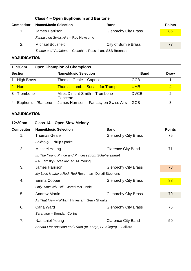|                                                               |                                                                     | <b>Class 4 - Open Euphonium and Baritone</b>              |                             |             |                |
|---------------------------------------------------------------|---------------------------------------------------------------------|-----------------------------------------------------------|-----------------------------|-------------|----------------|
| <b>Competitor</b>                                             | <b>Name/Music Selection</b><br><b>Band</b>                          |                                                           |                             |             |                |
| 1.                                                            | <b>James Harrison</b>                                               |                                                           | <b>Glenorchy City Brass</b> |             | 86             |
|                                                               |                                                                     | Fantasy on Swiss Airs - Roy Newsome                       |                             |             |                |
| 2.                                                            | <b>Michael Bousfield</b>                                            |                                                           | <b>City of Burnie Brass</b> |             | 77             |
|                                                               |                                                                     | Theme and Variations - Gioachino Rossini arr. S&B Brennan |                             |             |                |
| <b>ADJUDICATION</b>                                           |                                                                     |                                                           |                             |             |                |
| 11:30am                                                       |                                                                     | <b>Open Champion of Champions</b>                         |                             |             |                |
| <b>Section</b>                                                |                                                                     | <b>Name/Music Selection</b>                               |                             | <b>Band</b> | <b>Draw</b>    |
| 1 - High Brass                                                |                                                                     | Thomas Geale - Caprice                                    |                             | <b>GCB</b>  | 1              |
| $2 -$ Horn                                                    |                                                                     | <b>Thomas Lamb - Sonata for Trumpet</b>                   |                             | <b>UMB</b>  | $\overline{4}$ |
| 3 - Trombone                                                  |                                                                     | Miles Diment-Smith - Trombone<br>Concerto                 |                             | <b>DVCB</b> | $\overline{2}$ |
| 4 - Euphonium/Baritone                                        |                                                                     | James Harrison - Fantasy on Swiss Airs                    |                             | <b>GCB</b>  | 3              |
| <b>ADJUDICATION</b><br>12:20pm<br>Class 14 - Open Slow Melody |                                                                     |                                                           |                             |             |                |
| <b>Competitor</b>                                             | <b>Name/Music Selection</b>                                         |                                                           | <b>Band</b>                 |             | <b>Points</b>  |
| 1 <sub>1</sub>                                                | <b>Thomas Geale</b>                                                 |                                                           | <b>Glenorchy City Brass</b> |             | 75             |
|                                                               | Soliloquy - Philip Sparke                                           |                                                           |                             |             |                |
| 2.                                                            | Michael Young                                                       |                                                           | <b>Clarence City Band</b>   |             | 71             |
|                                                               |                                                                     | III. The Young Prince and Princess (from Scheherezade)    |                             |             |                |
|                                                               |                                                                     | - N. Rimsky-Korsakov, ed. M. Young                        |                             |             |                |
| 3.                                                            | <b>James Harrison</b>                                               |                                                           | <b>Glenorchy City Brass</b> |             | 78             |
|                                                               | My Love is Like a Red, Red Rose - arr. Denzil Stephens              |                                                           |                             |             |                |
| 4.                                                            | Emma Cooper                                                         |                                                           | <b>Glenorchy City Brass</b> |             | 88             |
|                                                               |                                                                     | Only Time Will Tell - Jared McCunnie                      |                             |             |                |
| 5.                                                            | <b>Andrew Martin</b>                                                |                                                           | <b>Glenorchy City Brass</b> |             | 79             |
|                                                               |                                                                     | All That I Am - William Himes arr. Gerry Shoults          |                             |             |                |
| 6.                                                            | Carla Ward                                                          |                                                           | <b>Glenorchy City Brass</b> |             | 76             |
|                                                               |                                                                     | Serenade - Brendan Collins                                |                             |             |                |
| 7.                                                            | <b>Nathaniel Young</b>                                              |                                                           | <b>Clarence City Band</b>   |             | 50             |
|                                                               | Sonata I for Bassoon and Piano (III. Largo, IV. Allegro) - Galliard |                                                           |                             |             |                |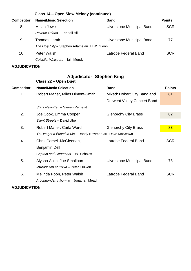| Class 14 - Open Slow Melody (continued) |                                                            |                                  |               |  |  |
|-----------------------------------------|------------------------------------------------------------|----------------------------------|---------------|--|--|
| <b>Competitor</b>                       | <b>Name/Music Selection</b>                                | <b>Band</b>                      | <b>Points</b> |  |  |
| 8.                                      | Micah Jewell                                               | <b>Ulverstone Municipal Band</b> | <b>SCR</b>    |  |  |
|                                         | Reverie Oriana - Fendall Hill                              |                                  |               |  |  |
| 9.                                      | <b>Thomas Lamb</b>                                         | <b>Ulverstone Municipal Band</b> | 77            |  |  |
|                                         | The Holy City - Stephen Adams arr. H.W. Glenn              |                                  |               |  |  |
| 10.                                     | Peter Walsh                                                | Latrobe Federal Band             | <b>SCR</b>    |  |  |
|                                         | Celestial Whispers - Iain Mundy                            |                                  |               |  |  |
| <b>ADJUDICATION</b>                     |                                                            |                                  |               |  |  |
|                                         | <b>Adjudicator: Stephen King</b>                           |                                  |               |  |  |
|                                         | Class 22 - Open Duet                                       |                                  |               |  |  |
| <b>Competitor</b>                       | <b>Name/Music Selection</b>                                | <b>Band</b>                      | <b>Points</b> |  |  |
| 1.                                      | Robert Maher, Miles Diment-Smith                           | Mixed: Hobart City Band and      | 81            |  |  |
|                                         |                                                            | Derwent Valley Concert Band      |               |  |  |
|                                         | Stars Rewritten - Steven Verhelst                          |                                  |               |  |  |
| 2.                                      | Joe Cook, Emma Cooper                                      | <b>Glenorchy City Brass</b>      | 82            |  |  |
|                                         | Silent Streets - David Uber                                |                                  |               |  |  |
| 3.                                      | Robert Maher, Carla Ward                                   | <b>Glenorchy City Brass</b>      | 83            |  |  |
|                                         | You've got a Friend in Me - Randy Newman arr. Dave McKeown |                                  |               |  |  |
| 4.                                      | Chris Cornell-McGleenan,                                   | <b>Latrobe Federal Band</b>      | <b>SCR</b>    |  |  |
|                                         | Benjamin Dell                                              |                                  |               |  |  |
|                                         | Captain and Lieutenant - W. Scholes                        |                                  |               |  |  |
| 5.                                      | Alysha Allen, Joe Smallbon                                 | <b>Ulverstone Municipal Band</b> | 78            |  |  |
|                                         | Introduction et Polka - Peter Cluwen                       |                                  |               |  |  |
| 6.                                      | Melinda Poon, Peter Walsh                                  | <b>Latrobe Federal Band</b>      | <b>SCR</b>    |  |  |
|                                         | A Londonderry Jig - arr. Jonathan Mead                     |                                  |               |  |  |

**ADJUDICATION**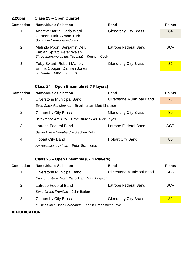| 2:20 <sub>pm</sub>  | Class 23 – Open Quartet                                                                                      |                                  |                 |  |
|---------------------|--------------------------------------------------------------------------------------------------------------|----------------------------------|-----------------|--|
| <b>Competitor</b>   | <b>Name/Music Selection</b>                                                                                  | <b>Band</b>                      | <b>Points</b>   |  |
| 1.                  | Andrew Martin, Carla Ward,<br>Carmen Turk, Simon Turk<br>Sonata di Cremona - Corelli                         | <b>Glenorchy City Brass</b>      | 84              |  |
| 2.                  | Melinda Poon, Benjamin Dell,<br>Fabian Spratt, Peter Walsh<br>Three Impromptus (III. Toccata) - Kenneth Cook | Latrobe Federal Band             | <b>SCR</b>      |  |
| 3.                  | Toby Sward, Robert Maher,<br>Emma Cooper, Damian Jones<br>La Tarara - Steven Verhelst                        | <b>Glenorchy City Brass</b>      |                 |  |
|                     | Class 24 – Open Ensemble (5-7 Players)                                                                       |                                  |                 |  |
| <b>Competitor</b>   | <b>Name/Music Selection</b>                                                                                  | <b>Band</b>                      | <b>Points</b>   |  |
| 1.                  | <b>Ulverstone Municipal Band</b>                                                                             | <b>Ulverstone Municipal Band</b> | 78              |  |
|                     | Ecce Sacerdos Magnus - Bruckner arr. Matt Kingston                                                           |                                  |                 |  |
| 2.                  | <b>Glenorchy City Brass</b>                                                                                  | <b>Glenorchy City Brass</b>      | 89              |  |
|                     | Blue Rondo a la Turk - Dave Brubeck arr. Nick Keyes                                                          |                                  |                 |  |
| 3.                  | Latrobe Federal Band                                                                                         | Latrobe Federal Band             | <b>SCR</b>      |  |
|                     | Savior Like a Shepherd - Stephen Bulla                                                                       |                                  |                 |  |
| 4.                  | <b>Hobart City Band</b>                                                                                      | <b>Hobart City Band</b>          | 80              |  |
|                     | An Australian Anthem - Peter Sculthorpe                                                                      |                                  |                 |  |
|                     |                                                                                                              |                                  |                 |  |
|                     | Class 25 - Open Ensemble (8-12 Players)                                                                      |                                  |                 |  |
| <b>Competitor</b>   | <b>Name/Music Selection</b>                                                                                  | <b>Band</b>                      | <b>Points</b>   |  |
| 1.                  | <b>Ulverstone Municipal Band</b>                                                                             | <b>Ulverstone Municipal Band</b> | <b>SCR</b>      |  |
|                     | Capriol Suite - Peter Warlock arr. Matt Kingston                                                             |                                  |                 |  |
| 2.                  | <b>Latrobe Federal Band</b>                                                                                  | Latrobe Federal Band             | <b>SCR</b>      |  |
|                     | Song for the Frontline - John Barber                                                                         |                                  |                 |  |
| 3.                  | <b>Glenorchy City Brass</b>                                                                                  | <b>Glenorchy City Brass</b>      | 82 <sub>2</sub> |  |
|                     | Musings on a Bach Sarabande - Karlin Greenstreet Love                                                        |                                  |                 |  |
| <b>ADJUDICATION</b> |                                                                                                              |                                  |                 |  |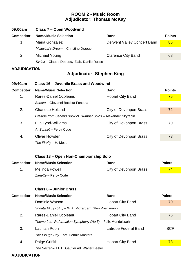| <b>ROOM 2 - Music Room</b><br><b>Adjudicator: Thomas McKay</b> |                                                                |                                |               |  |
|----------------------------------------------------------------|----------------------------------------------------------------|--------------------------------|---------------|--|
| 09:00am                                                        | Class 7 – Open Woodwind                                        |                                |               |  |
| <b>Competitor</b>                                              | <b>Name/Music Selection</b>                                    | <b>Band</b>                    | <b>Points</b> |  |
| 1.                                                             | Maria Gonzalez                                                 | Derwent Valley Concert Band    | 85            |  |
|                                                                | Melusina's Dream - Christine Draeger                           |                                |               |  |
| 2.                                                             | Michael Young                                                  | <b>Clarence City Band</b>      | 68            |  |
|                                                                | Syrinx - Claude Debussy Elab. Danilo Russo                     |                                |               |  |
| <b>ADJUDICATION</b>                                            | <b>Adjudicator: Stephen King</b>                               |                                |               |  |
| 09:40am                                                        | Class 16 - Juvenile Brass and Woodwind                         |                                |               |  |
| <b>Competitor</b>                                              | <b>Name/Music Selection</b>                                    | <b>Band</b>                    | <b>Points</b> |  |
| 1.                                                             | Rares-Daniel Ocoleanu                                          | <b>Hobart City Band</b>        | 75            |  |
|                                                                | Sonata - Giovanni Battista Fontana                             |                                |               |  |
| 2.                                                             | <b>Charlotte Holland</b>                                       | <b>City of Devonport Brass</b> | 72            |  |
|                                                                | Prelude from Second Book of Trumpet Solos - Alexander Skyrabin |                                |               |  |
| 3.                                                             | Ella Lynd-Williams                                             | <b>City of Devonport Brass</b> | 70            |  |
|                                                                | At Sunset - Percy Code                                         |                                |               |  |
| 4.                                                             | <b>Oliver Howden</b>                                           | <b>City of Devonport Brass</b> | 73            |  |
|                                                                | The Firefly - H. Moss                                          |                                |               |  |
|                                                                | Class 18 – Open Non-Championship Solo                          |                                |               |  |
| <b>Competitor</b>                                              | <b>Name/Music Selection</b>                                    | <b>Band</b>                    | <b>Points</b> |  |
| 1.                                                             | <b>Melinda Powell</b>                                          | <b>City of Devonport Brass</b> | 74            |  |
|                                                                | Zanette - Percy Code                                           |                                |               |  |
|                                                                | <b>Class 6 - Junior Brass</b>                                  |                                |               |  |
| <b>Competitor</b>                                              | <b>Name/Music Selection</b>                                    | <b>Band</b>                    | <b>Points</b> |  |
| 1.                                                             | <b>Dominic Watson</b>                                          | <b>Hobart City Band</b>        | 70            |  |
|                                                                | Sonata #15 (K545) - W.A. Mozart arr. Glen Poehlmann            |                                |               |  |
| 2.                                                             | Rares-Daniel Ocoleanu                                          | <b>Hobart City Band</b>        | 76            |  |
|                                                                | Theme from Reformation Symphony (No.5) - Felix Mendelssohn     |                                |               |  |
| 3.                                                             | Lachlan Poon                                                   | Latrobe Federal Band           | <b>SCR</b>    |  |
|                                                                | The Plough Boy - arr. Dennis Masters                           |                                |               |  |
| 4.                                                             | Paige Griffith                                                 | <b>Hobart City Band</b>        | 78            |  |
|                                                                | The Secret - J.F.E. Gautier ad. Walter Beeler                  |                                |               |  |
| <b>ADJUDICATION</b>                                            |                                                                |                                |               |  |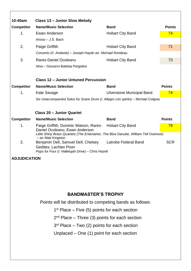| 10:40am                                                   | Class 13 - Junior Slow Melody                                                                                                                                     |                                  |               |  |  |
|-----------------------------------------------------------|-------------------------------------------------------------------------------------------------------------------------------------------------------------------|----------------------------------|---------------|--|--|
| <b>Competitor</b>                                         | <b>Name/Music Selection</b>                                                                                                                                       | <b>Band</b>                      | <b>Points</b> |  |  |
| 1.                                                        | Ewan Anderson                                                                                                                                                     | <b>Hobart City Band</b>          | 74            |  |  |
|                                                           | Arioso - J.S. Bach                                                                                                                                                |                                  |               |  |  |
| 2.                                                        | Paige Griffith                                                                                                                                                    | <b>Hobart City Band</b>          | 71            |  |  |
|                                                           | Concerto (II. Andante) - Joseph Haydn arr. Michael Rondeau                                                                                                        |                                  |               |  |  |
| 3.                                                        | Rares-Daniel Ocoleanu                                                                                                                                             | <b>Hobart City Band</b>          | 73            |  |  |
|                                                           | Nina - Giovanni Battista Pergolesi                                                                                                                                |                                  |               |  |  |
|                                                           | <b>Class 12 - Junior Untuned Percussion</b>                                                                                                                       |                                  |               |  |  |
| <b>Competitor</b>                                         | <b>Name/Music Selection</b>                                                                                                                                       | <b>Band</b>                      | <b>Points</b> |  |  |
| 1.                                                        | <b>Kate Savage</b>                                                                                                                                                | <b>Ulverstone Municipal Band</b> | 74            |  |  |
|                                                           | Six Unaccompanied Solos for Snare Drum (I. Allegro con spirito) – Michael Colgras                                                                                 |                                  |               |  |  |
|                                                           |                                                                                                                                                                   |                                  |               |  |  |
|                                                           | <b>Class 20 - Junior Quartet</b>                                                                                                                                  |                                  |               |  |  |
| <b>Competitor</b>                                         | <b>Name/Music Selection</b>                                                                                                                                       | <b>Band</b>                      | <b>Points</b> |  |  |
| 1.                                                        | Paige Griffith, Dominic Watson, Rares-<br>Daniel Ocoleanu, Ewan Anderson<br>Little Shiny Brass Quartets (The Entertainer, The Blue Danube, William Tell Overture) | <b>Hobart City Band</b>          | 79            |  |  |
| 2.                                                        | - arr Matt Kingston<br>Benjamin Dell, Samuel Dell, Chelsey<br>Geddes, Lachlan Poon                                                                                | Latrobe Federal Band             | <b>SCR</b>    |  |  |
|                                                           | Pops for Four (I. Hallelujah Drive) - Chris Hazell                                                                                                                |                                  |               |  |  |
| <b>ADJUDICATION</b>                                       |                                                                                                                                                                   |                                  |               |  |  |
|                                                           |                                                                                                                                                                   |                                  |               |  |  |
|                                                           |                                                                                                                                                                   |                                  |               |  |  |
|                                                           |                                                                                                                                                                   |                                  |               |  |  |
|                                                           |                                                                                                                                                                   |                                  |               |  |  |
|                                                           | <b>BANDMASTER'S TROPHY</b>                                                                                                                                        |                                  |               |  |  |
| Points will be distributed to competing bands as follows: |                                                                                                                                                                   |                                  |               |  |  |
| $1st$ Place – Five (5) points for each section            |                                                                                                                                                                   |                                  |               |  |  |
|                                                           | $2nd$ Place – Three (3) points for each section                                                                                                                   |                                  |               |  |  |
|                                                           | $3rd$ Place – Two (2) points for each section                                                                                                                     |                                  |               |  |  |
|                                                           | Unplaced $-$ One (1) point for each section                                                                                                                       |                                  |               |  |  |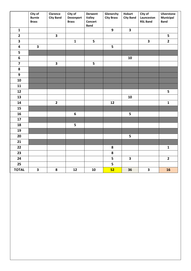|                         | City of<br><b>Burnie</b><br><b>Brass</b> | Clarence<br><b>City Band</b> | City of<br>Devonport<br><b>Brass</b> | <b>Derwent</b><br>Valley<br>Concert<br><b>Band</b> | Glenorchy<br><b>City Brass</b> | <b>Hobart</b><br><b>City Band</b> | City of<br>Launceston<br><b>RSL Band</b> | Ulverstone<br><b>Municipal</b><br><b>Band</b> |
|-------------------------|------------------------------------------|------------------------------|--------------------------------------|----------------------------------------------------|--------------------------------|-----------------------------------|------------------------------------------|-----------------------------------------------|
| $\mathbf{1}$            |                                          |                              |                                      |                                                    | $\overline{9}$                 | $\overline{\mathbf{3}}$           |                                          |                                               |
| $\overline{\mathbf{2}}$ |                                          | $\overline{\mathbf{3}}$      |                                      |                                                    |                                |                                   |                                          | 5                                             |
| 3                       |                                          |                              | $\mathbf{1}$                         | 5                                                  |                                |                                   | $\overline{\mathbf{3}}$                  | $\mathbf{2}$                                  |
| $\overline{\mathbf{4}}$ | $\overline{\mathbf{3}}$                  |                              |                                      |                                                    | 5                              |                                   |                                          |                                               |
| 5                       |                                          |                              |                                      |                                                    |                                |                                   |                                          |                                               |
| $\boldsymbol{6}$        |                                          |                              |                                      |                                                    |                                | 10                                |                                          |                                               |
| $\overline{\mathbf{z}}$ |                                          | $\overline{\mathbf{3}}$      |                                      | 5                                                  |                                |                                   |                                          |                                               |
| ${\bf 8}$               |                                          |                              |                                      |                                                    |                                |                                   |                                          |                                               |
| $\boldsymbol{9}$        |                                          |                              |                                      |                                                    |                                |                                   |                                          |                                               |
| 10                      |                                          |                              |                                      |                                                    |                                |                                   |                                          |                                               |
| 11                      |                                          |                              |                                      |                                                    |                                |                                   |                                          |                                               |
| 12                      |                                          |                              |                                      |                                                    |                                |                                   |                                          | 5                                             |
| 13                      |                                          |                              |                                      |                                                    |                                | 10                                |                                          |                                               |
| 14                      |                                          | $\overline{\mathbf{2}}$      |                                      |                                                    | 12                             |                                   |                                          | $\mathbf{1}$                                  |
| 15                      |                                          |                              |                                      |                                                    |                                |                                   |                                          |                                               |
| 16                      |                                          |                              | $\boldsymbol{6}$                     |                                                    |                                | 5                                 |                                          |                                               |
| 17                      |                                          |                              |                                      |                                                    |                                |                                   |                                          |                                               |
| 18                      |                                          |                              | 5                                    |                                                    |                                |                                   |                                          |                                               |
| 19                      |                                          |                              |                                      |                                                    |                                |                                   |                                          |                                               |
| 20                      |                                          |                              |                                      |                                                    |                                | 5                                 |                                          |                                               |
| 21                      |                                          |                              |                                      |                                                    |                                |                                   |                                          |                                               |
| 22                      |                                          |                              |                                      |                                                    | ${\bf 8}$                      |                                   |                                          | $\mathbf{1}$                                  |
| 23                      |                                          |                              |                                      |                                                    | 8                              |                                   |                                          |                                               |
| 24                      |                                          |                              |                                      |                                                    | 5                              | $\overline{\mathbf{3}}$           |                                          | $\mathbf{2}$                                  |
| 25                      |                                          |                              |                                      |                                                    | 5                              |                                   |                                          |                                               |
| <b>TOTAL</b>            | $\overline{\mathbf{3}}$                  | ${\bf 8}$                    | 12                                   | 10                                                 | 52                             | 36                                | $\overline{\mathbf{3}}$                  | 16                                            |